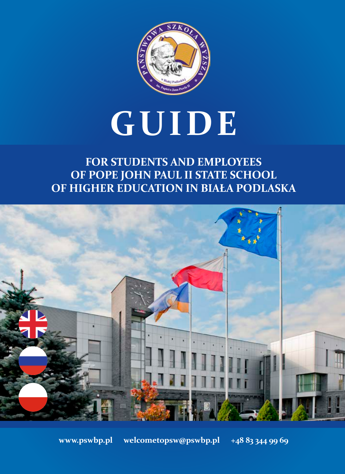

# **GUIDE**

# **FOR STUDENTS AND EMPLOYEES OF POPE JOHN PAUL II STATE SCHOOL OF HIGHER EDUCATION IN BIAŁA PODLASKA**



**www.pswbp.pl welcometopsw@pswbp.pl +48 83 344 99 69**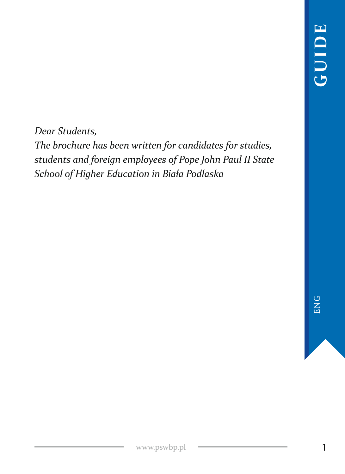*Dear Students, The brochure has been written for candidates for studies, students and foreign employees of Pope John Paul II State School of Higher Education in Biała Podlaska*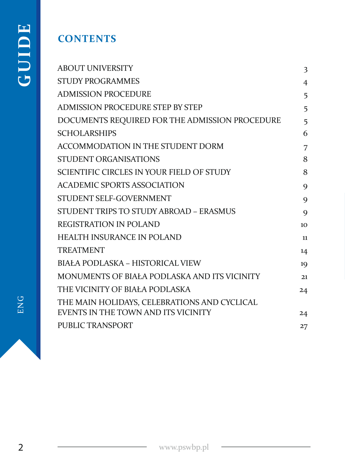# **CONTENTS**

| <b>ABOUT UNIVERSITY</b>                        | 3               |
|------------------------------------------------|-----------------|
| <b>STUDY PROGRAMMES</b>                        | $\overline{4}$  |
| <b>ADMISSION PROCEDURE</b>                     | 5               |
| ADMISSION PROCEDURE STEP BY STEP               | 5               |
| DOCUMENTS REQUIRED FOR THE ADMISSION PROCEDURE | 5               |
| <b>SCHOLARSHIPS</b>                            | 6               |
| ACCOMMODATION IN THE STUDENT DORM              | 7               |
| <b>STUDENT ORGANISATIONS</b>                   | 8               |
| SCIENTIFIC CIRCLES IN YOUR FIELD OF STUDY      | 8               |
| ACADEMIC SPORTS ASSOCIATION                    | 9               |
| STUDENT SELF-GOVERNMENT                        | 9               |
| STUDENT TRIPS TO STUDY ABROAD – ERASMUS        | 9               |
| REGISTRATION IN POLAND                         | 10 <sup>2</sup> |
| <b>HEALTH INSURANCE IN POLAND</b>              | 11              |
| <b>TREATMENT</b>                               | 14              |
| BIAŁA PODLASKA – HISTORICAL VIEW               | 19              |
| MONUMENTS OF BIAŁA PODLASKA AND ITS VICINITY   | 21              |
| THE VICINITY OF BIAŁA PODLASKA                 | 24              |
| THE MAIN HOLIDAYS, CELEBRATIONS AND CYCLICAL   |                 |
| EVENTS IN THE TOWN AND ITS VICINITY            | 24              |
| PUBLIC TRANSPORT                               | 27              |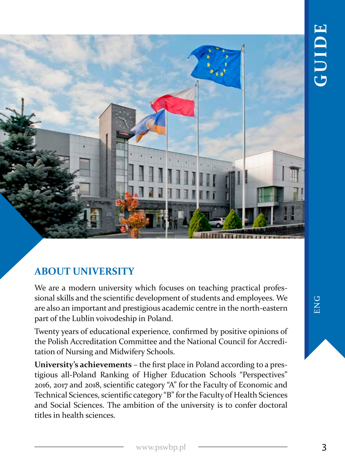

# **ABOUT UNIVERSITY**

We are a modern university which focuses on teaching practical professional skills and the scientific development of students and employees. We are also an important and prestigious academic centre in the north-eastern part of the Lublin voivodeship in Poland.

Twenty years of educational experience, confirmed by positive opinions of the Polish Accreditation Committee and the National Council for Accreditation of Nursing and Midwifery Schools.

**University's achievements** – the first place in Poland according to a prestigious all-Poland Ranking of Higher Education Schools "Perspectives" 2016, 2017 and 2018, scientific category "A" for the Faculty of Economic and Technical Sciences, scientific category "B" for the Faculty of Health Sciences and Social Sciences. The ambition of the university is to confer doctoral titles in health sciences.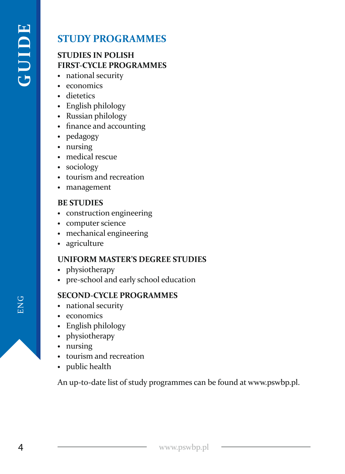# **STUDY PROGRAMMES**

#### **STUDIES IN POLISH FIRST-CYCLE PROGRAMMES**

- **•** national security
- **•** economics
- **•** dietetics
- **•** English philology
- **•** Russian philology
- **•** finance and accounting
- **•** pedagogy
- **•** nursing
- **•** medical rescue
- **•** sociology
- **•** tourism and recreation
- **•** management

#### **BE STUDIES**

- **•** construction engineering
- **•** computer science
- **•** mechanical engineering
- **•** agriculture

#### **UNIFORM MASTER'S DEGREE STUDIES**

- **•** physiotherapy
- **•** pre-school and early school education

#### **SECOND-CYCLE PROGRAMMES**

- **•** national security
- **•** economics
- **•** English philology
- **•** physiotherapy
- **•** nursing
- **•** tourism and recreation
- **•** public health

An up-to-date list of study programmes can be found at www.pswbp.pl.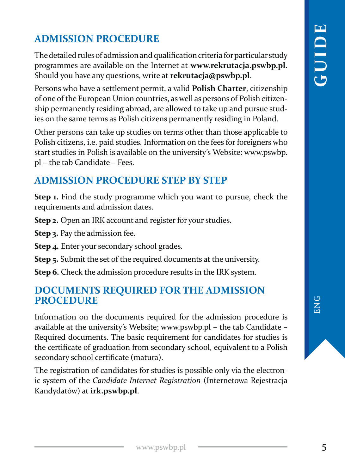# **ADMISSION PROCEDURE**

The detailed rules of admission and qualification criteria for particular study programmes are available on the Internet at **www.rekrutacja.pswbp.pl**. Should you have any questions, write at **rekrutacja@pswbp.pl**.

Persons who have a settlement permit, a valid **Polish Charter**, citizenship of one of the European Union countries, as well as persons of Polish citizenship permanently residing abroad, are allowed to take up and pursue studies on the same terms as Polish citizens permanently residing in Poland.

Other persons can take up studies on terms other than those applicable to Polish citizens, i.e. paid studies. Information on the fees for foreigners who start studies in Polish is available on the university's Website: www.pswbp. pl – the tab Candidate – Fees.

# **ADMISSION PROCEDURE STEP BY STEP**

**Step 1.** Find the study programme which you want to pursue, check the requirements and admission dates.

**Step 2.** Open an IRK account and register for your studies.

**Step 3.** Pay the admission fee.

**Step 4.** Enter your secondary school grades.

- **Step 5.** Submit the set of the required documents at the university.
- **Step 6.** Check the admission procedure results in the IRK system.

#### **DOCUMENTS REQUIRED FOR THE ADMISSION PROCEDURE**

Information on the documents required for the admission procedure is available at the university's Website; www.pswbp.pl – the tab Candidate – Required documents. The basic requirement for candidates for studies is the certificate of graduation from secondary school, equivalent to a Polish secondary school certificate (matura).

The registration of candidates for studies is possible only via the electronic system of the *Candidate Internet Registration* (Internetowa Rejestracja Kandydatów) at **irk.pswbp.pl**.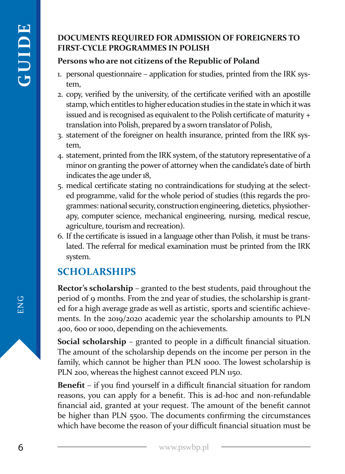#### **DOCUMENTS REQUIRED FOR ADMISSION OF FOREIGNERS TO FIRST-CYCLE PROGRAMMES IN POLISH**

#### **Persons who are not citizens of the Republic of Poland**

- 1. personal questionnaire application for studies, printed from the IRK system,
- 2. copy, verified by the university, of the certificate verified with an apostille stamp, which entitles to higher education studies in the state in which it was issued and is recognised as equivalent to the Polish certificate of maturity + translation into Polish, prepared by a sworn translator of Polish,
- 3. statement of the foreigner on health insurance, printed from the IRK system,
- 4. statement, printed from the IRK system, of the statutory representative of a minor on granting the power of attorney when the candidate's date of birth indicates the age under 18,
- 5. medical certificate stating no contraindications for studying at the selected programme, valid for the whole period of studies (this regards the programmes: national security, construction engineering, dietetics, physiotherapy, computer science, mechanical engineering, nursing, medical rescue, agriculture, tourism and recreation).
- 6. If the certificate is issued in a language other than Polish, it must be translated. The referral for medical examination must be printed from the IRK system.

# **SCHOLARSHIPS**

**Rector's scholarship** – granted to the best students, paid throughout the period of 9 months. From the 2nd year of studies, the scholarship is granted for a high average grade as well as artistic, sports and scientific achievements. In the 2019/2020 academic year the scholarship amounts to PLN 400, 600 or 1000, depending on the achievements.

**Social scholarship** – granted to people in a difficult financial situation. The amount of the scholarship depends on the income per person in the family, which cannot be higher than PLN 1000. The lowest scholarship is PLN 200, whereas the highest cannot exceed PLN 1150.

**Benefit** – if you find yourself in a difficult financial situation for random reasons, you can apply for a benefit. This is ad-hoc and non-refundable financial aid, granted at your request. The amount of the benefit cannot be higher than PLN 5500. The documents confirming the circumstances which have become the reason of your difficult financial situation must be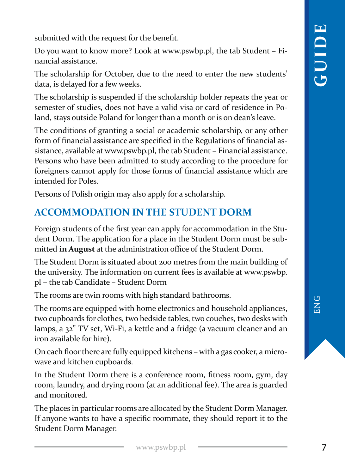submitted with the request for the benefit.

Do you want to know more? Look at www.pswbp.pl, the tab Student – Financial assistance.

The scholarship for October, due to the need to enter the new students' data, is delayed for a few weeks.

The scholarship is suspended if the scholarship holder repeats the year or semester of studies, does not have a valid visa or card of residence in Poland, stays outside Poland for longer than a month or is on dean's leave.

The conditions of granting a social or academic scholarship, or any other form of financial assistance are specified in the Regulations of financial assistance, available at www.pswbp.pl, the tab Student – Financial assistance. Persons who have been admitted to study according to the procedure for foreigners cannot apply for those forms of financial assistance which are intended for Poles.

Persons of Polish origin may also apply for a scholarship.

# **ACCOMMODATION IN THE STUDENT DORM**

Foreign students of the first year can apply for accommodation in the Student Dorm. The application for a place in the Student Dorm must be submitted **in August** at the administration office of the Student Dorm.

The Student Dorm is situated about 200 metres from the main building of the university. The information on current fees is available at www.pswbp. pl – the tab Candidate – Student Dorm

The rooms are twin rooms with high standard bathrooms.

The rooms are equipped with home electronics and household appliances, two cupboards for clothes, two bedside tables, two couches, two desks with lamps, a 32" TV set, Wi-Fi, a kettle and a fridge (a vacuum cleaner and an iron available for hire).

On each floor there are fully equipped kitchens – with a gas cooker, a microwave and kitchen cupboards.

In the Student Dorm there is a conference room, fitness room, gym, day room, laundry, and drying room (at an additional fee). The area is guarded and monitored.

The places in particular rooms are allocated by the Student Dorm Manager. If anyone wants to have a specific roommate, they should report it to the Student Dorm Manager.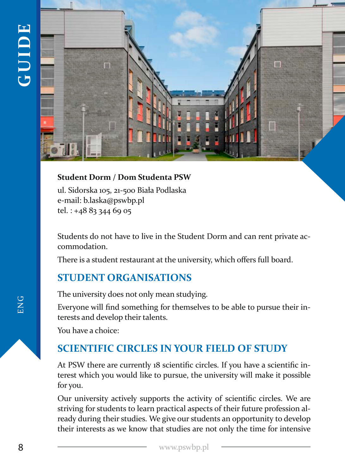

#### **Student Dorm / Dom Studenta PSW**

ul. Sidorska 105, 21-500 Biała Podlaska e-mail: b.laska@pswbp.pl tel. : +48 83 344 69 05

Students do not have to live in the Student Dorm and can rent private accommodation.

There is a student restaurant at the university, which offers full board.

### **STUDENT ORGANISATIONS**

The university does not only mean studying.

Everyone will find something for themselves to be able to pursue their interests and develop their talents.

You have a choice:

# **SCIENTIFIC CIRCLES IN YOUR FIELD OF STUDY**

At PSW there are currently 18 scientific circles. If you have a scientific interest which you would like to pursue, the university will make it possible for you.

Our university actively supports the activity of scientific circles. We are striving for students to learn practical aspects of their future profession already during their studies. We give our students an opportunity to develop their interests as we know that studies are not only the time for intensive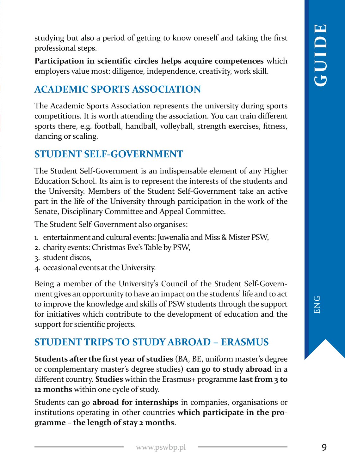studying but also a period of getting to know oneself and taking the first professional steps.

**Participation in scientific circles helps acquire competences** which employers value most: diligence, independence, creativity, work skill.

# **ACADEMIC SPORTS ASSOCIATION**

The Academic Sports Association represents the university during sports competitions. It is worth attending the association. You can train different sports there, e.g. football, handball, volleyball, strength exercises, fitness, dancing or scaling.

## **STUDENT SELF-GOVERNMENT**

The Student Self-Government is an indispensable element of any Higher Education School. Its aim is to represent the interests of the students and the University. Members of the Student Self-Government take an active part in the life of the University through participation in the work of the Senate, Disciplinary Committee and Appeal Committee.

The Student Self-Government also organises:

- 1. entertainment and cultural events: Juwenalia and Miss & Mister PSW,
- 2. charity events: Christmas Eve's Table by PSW,
- 3. student discos,
- 4. occasional events at the University.

Being a member of the University's Council of the Student Self-Government gives an opportunity to have an impact on the students' life and to act to improve the knowledge and skills of PSW students through the support for initiatives which contribute to the development of education and the support for scientific projects.

# **STUDENT TRIPS TO STUDY ABROAD – ERASMUS**

**Students after the first year of studies** (BA, BE, uniform master's degree or complementary master's degree studies) **can go to study abroad** in a different country. **Studies** within the Erasmus+ programme **last from 3 to 12 months** within one cycle of study.

Students can go **abroad for internships** in companies, organisations or institutions operating in other countries **which participate in the programme – the length of stay 2 months**.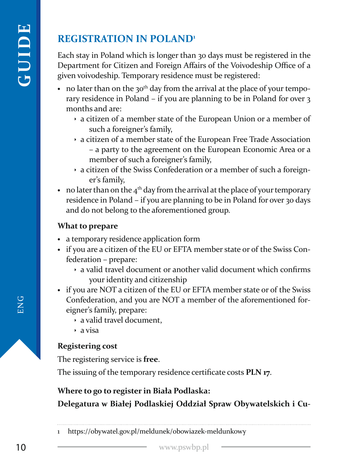# **REGISTRATION IN POLAND1**

Each stay in Poland which is longer than 30 days must be registered in the Department for Citizen and Foreign Affairs of the Voivodeship Office of a given voivodeship. Temporary residence must be registered:

- no later than on the 30<sup>th</sup> day from the arrival at the place of your temporary residence in Poland – if you are planning to be in Poland for over 3 months and are:
	- $\rightarrow$  a citizen of a member state of the European Union or a member of such a foreigner's family,
	- $\rightarrow$  a citizen of a member state of the European Free Trade Association – a party to the agreement on the European Economic Area or a member of such a foreigner's family,
	- $\rightarrow$  a citizen of the Swiss Confederation or a member of such a foreigner's family,
- no later than on the 4<sup>th</sup> day from the arrival at the place of your temporary residence in Poland – if you are planning to be in Poland for over 30 days and do not belong to the aforementioned group.

#### **What to prepare**

- **•** a temporary residence application form
- **•** if you are a citizen of the EU or EFTA member state or of the Swiss Confederation – prepare:
	- $\rightarrow$  a valid travel document or another valid document which confirms your identity and citizenship
- **•** if you are NOT a citizen of the EU or EFTA member state or of the Swiss Confederation, and you are NOT a member of the aforementioned foreigner's family, prepare:
	- $\rightarrow$  a valid travel document.
	- $\overline{a}$  a visa

#### **Registering cost**

The registering service is **free**.

The issuing of the temporary residence certificate costs **PLN 17**.

#### **Where to go to register in Biała Podlaska:**

**Delegatura w Białej Podlaskiej Oddział Spraw Obywatelskich i Cu-**

https://obywatel.gov.pl/meldunek/obowiazek-meldunkowy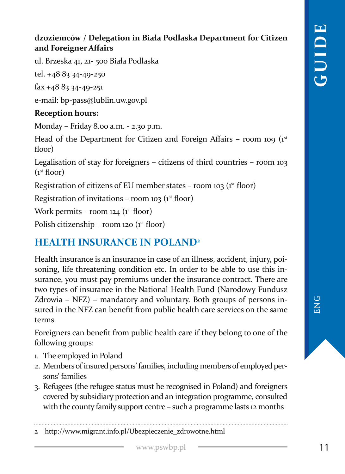#### **dzoziemców / Delegation in Biała Podlaska Department for Citizen and Foreigner Affairs**

ul. Brzeska 41, 21- 500 Biała Podlaska

tel. +48 83 34-49-250

fax +48 83 34-49-251

e-mail: bp-pass@lublin.uw.gov.pl

#### **Reception hours:**

Monday – Friday 8.00 a.m. - 2.30 p.m.

Head of the Department for Citizen and Foreign Affairs – room 109 ( $1<sup>st</sup>$ floor)

Legalisation of stay for foreigners – citizens of third countries – room 103  $(i<sup>st</sup> floor)$ 

Registration of citizens of EU member states – room 103 ( $1<sup>st</sup>$  floor)

Registration of invitations – room 103 ( $1<sup>st</sup>$  floor)

Work permits – room 124  $(r<sup>st</sup> floor)$ 

Polish citizenship – room 120 (1st floor)

# **HEALTH INSURANCE IN POLAND2**

Health insurance is an insurance in case of an illness, accident, injury, poisoning, life threatening condition etc. In order to be able to use this insurance, you must pay premiums under the insurance contract. There are two types of insurance in the National Health Fund (Narodowy Fundusz Zdrowia – NFZ) – mandatory and voluntary. Both groups of persons insured in the NFZ can benefit from public health care services on the same terms.

Foreigners can benefit from public health care if they belong to one of the following groups:

- 1. The employed in Poland
- 2. Members of insured persons' families, including members of employed persons' families
- 3. Refugees (the refugee status must be recognised in Poland) and foreigners covered by subsidiary protection and an integration programme, consulted with the county family support centre – such a programme lasts 12 months

2 http://www.migrant.info.pl/Ubezpieczenie\_zdrowotne.html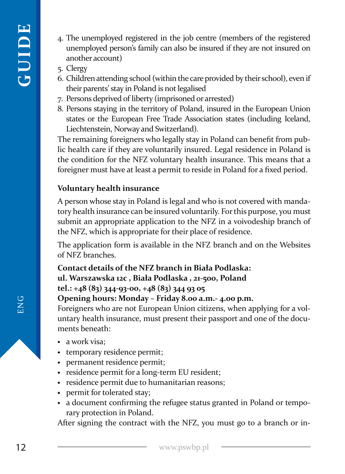- 4. The unemployed registered in the job centre (members of the registered unemployed person's family can also be insured if they are not insured on another account)
- 5. Clergy
- 6. Children attending school (within the care provided by their school), even if their parents' stay in Poland is not legalised
- 7. Persons deprived of liberty (imprisoned or arrested)
- 8. Persons staying in the territory of Poland, insured in the European Union states or the European Free Trade Association states (including Iceland, Liechtenstein, Norway and Switzerland).

The remaining foreigners who legally stay in Poland can benefit from public health care if they are voluntarily insured. Legal residence in Poland is the condition for the NFZ voluntary health insurance. This means that a foreigner must have at least a permit to reside in Poland for a fixed period.

#### **Voluntary health insurance**

A person whose stay in Poland is legal and who is not covered with mandatory health insurance can be insured voluntarily. For this purpose, you must submit an appropriate application to the NFZ in a voivodeship branch of the NFZ, which is appropriate for their place of residence.

The application form is available in the NFZ branch and on the Websites of NFZ branches.

**Contact details of the NFZ branch in Biała Podlaska: ul. Warszawska 12c , Biała Podlaska , 21-500, Poland tel.: +48 (83) 344-93-00, +48 (83) 344 93 05 Opening hours: Monday – Friday 8.00 a.m.- 4.00 p.m.**

Foreigners who are not European Union citizens, when applying for a voluntary health insurance, must present their passport and one of the documents beneath:

- **•** a work visa;
- **•** temporary residence permit;
- **•** permanent residence permit;
- **•** residence permit for a long-term EU resident;
- **•** residence permit due to humanitarian reasons;
- **•** permit for tolerated stay;
- **•** a document confirming the refugee status granted in Poland or temporary protection in Poland.

After signing the contract with the NFZ, you must go to a branch or in-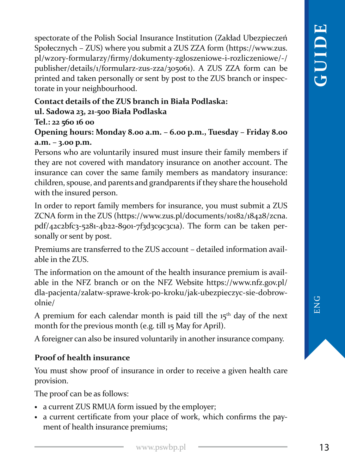spectorate of the Polish Social Insurance Institution (Zakład Ubezpieczeń Społecznych – ZUS) where you submit a ZUS ZZA form (https://www.zus. pl/wzory-formularzy/firmy/dokumenty-zgloszeniowe-i-rozliczeniowe/-/ publisher/details/1/formularz-zus-zza/305061). A ZUS ZZA form can be printed and taken personally or sent by post to the ZUS branch or inspectorate in your neighbourhood.

#### **Contact details of the ZUS branch in Biała Podlaska:**

#### **ul. Sadowa 23, 21-500 Biała Podlaska**

#### **Tel.: 22 560 16 00**

**Opening hours: Monday 8.00 a.m. – 6.00 p.m., Tuesday – Friday 8.00 a.m. – 3.00 p.m.**

Persons who are voluntarily insured must insure their family members if they are not covered with mandatory insurance on another account. The insurance can cover the same family members as mandatory insurance: children, spouse, and parents and grandparents if they share the household with the insured person.

In order to report family members for insurance, you must submit a ZUS ZCNA form in the ZUS (https://www.zus.pl/documents/10182/18428/zcna. pdf/42c2bfc3-5281-4b22-8901-7f3d3c9c3c1a). The form can be taken personally or sent by post.

Premiums are transferred to the ZUS account – detailed information available in the ZUS.

The information on the amount of the health insurance premium is available in the NFZ branch or on the NFZ Website https://www.nfz.gov.pl/ dla-pacjenta/zalatw-sprawe-krok-po-kroku/jak-ubezpieczyc-sie-dobrowolnie/

A premium for each calendar month is paid till the  $15<sup>th</sup>$  day of the next month for the previous month (e.g. till 15 May for April).

A foreigner can also be insured voluntarily in another insurance company.

#### **Proof of health insurance**

You must show proof of insurance in order to receive a given health care provision.

The proof can be as follows:

- **•** a current ZUS RMUA form issued by the employer;
- **•** a current certificate from your place of work, which confirms the payment of health insurance premiums;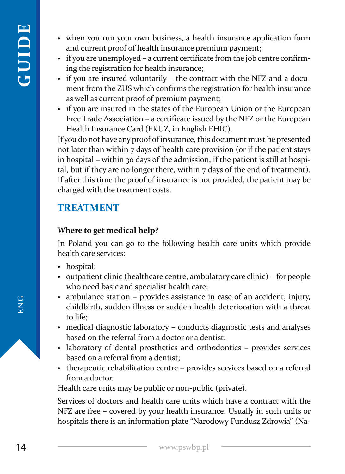- **•** when you run your own business, a health insurance application form and current proof of health insurance premium payment;
- **•** if you are unemployed a current certificate from the job centre confirming the registration for health insurance;
- **•** if you are insured voluntarily the contract with the NFZ and a document from the ZUS which confirms the registration for health insurance as well as current proof of premium payment;
- **•** if you are insured in the states of the European Union or the European Free Trade Association – a certificate issued by the NFZ or the European Health Insurance Card (EKUZ, in English EHIC).

If you do not have any proof of insurance, this document must be presented not later than within 7 days of health care provision (or if the patient stays in hospital – within 30 days of the admission, if the patient is still at hospital, but if they are no longer there, within 7 days of the end of treatment). If after this time the proof of insurance is not provided, the patient may be charged with the treatment costs.

# **TREATMENT**

#### **Where to get medical help?**

In Poland you can go to the following health care units which provide health care services:

- **•** hospital;
- **•** outpatient clinic (healthcare centre, ambulatory care clinic) for people who need basic and specialist health care;
- **•** ambulance station provides assistance in case of an accident, injury, childbirth, sudden illness or sudden health deterioration with a threat to life;
- **•** medical diagnostic laboratory conducts diagnostic tests and analyses based on the referral from a doctor or a dentist;
- **•** laboratory of dental prosthetics and orthodontics provides services based on a referral from a dentist;
- **•** therapeutic rehabilitation centre provides services based on a referral from a doctor.

Health care units may be public or non-public (private).

Services of doctors and health care units which have a contract with the NFZ are free – covered by your health insurance. Usually in such units or hospitals there is an information plate "Narodowy Fundusz Zdrowia" (Na-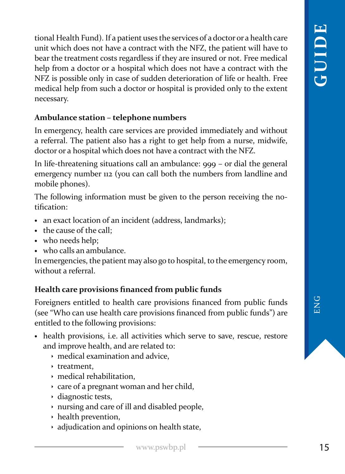tional Health Fund). If a patient uses the services of a doctor or a health care unit which does not have a contract with the NFZ, the patient will have to bear the treatment costs regardless if they are insured or not. Free medical help from a doctor or a hospital which does not have a contract with the NFZ is possible only in case of sudden deterioration of life or health. Free medical help from such a doctor or hospital is provided only to the extent necessary.

#### **Ambulance station – telephone numbers**

In emergency, health care services are provided immediately and without a referral. The patient also has a right to get help from a nurse, midwife, doctor or a hospital which does not have a contract with the NFZ.

In life-threatening situations call an ambulance: 999 – or dial the general emergency number 112 (you can call both the numbers from landline and mobile phones).

The following information must be given to the person receiving the notification:

- **•** an exact location of an incident (address, landmarks);
- **•** the cause of the call;
- **•** who needs help;
- **•** who calls an ambulance.

In emergencies, the patient may also go to hospital, to the emergency room, without a referral.

#### **Health care provisions financed from public funds**

Foreigners entitled to health care provisions financed from public funds (see "Who can use health care provisions financed from public funds") are entitled to the following provisions:

- **•** health provisions, i.e. all activities which serve to save, rescue, restore and improve health, and are related to:
	- $\cdot$  medical examination and advice.
	- $\cdot$  treatment,
	- $\cdot$  medical rehabilitation.
	- $\rightarrow$  care of a pregnant woman and her child,
	- Ì diagnostic tests,
	- $\rightarrow$  nursing and care of ill and disabled people,
	- $\rightarrow$  health prevention,
	- $\cdot$  adjudication and opinions on health state,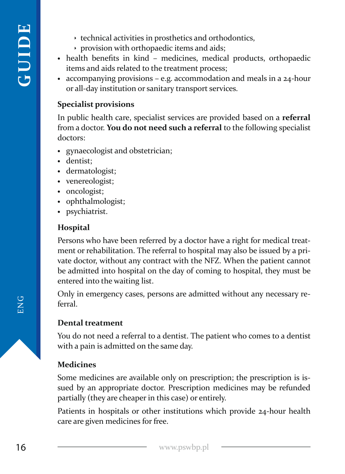- $\rightarrow$  technical activities in prosthetics and orthodontics,
- $\rightarrow$  provision with orthopaedic items and aids;
- **•** health benefits in kind medicines, medical products, orthopaedic items and aids related to the treatment process;
- **•** accompanying provisions e.g. accommodation and meals in a 24-hour or all-day institution or sanitary transport services.

#### **Specialist provisions**

In public health care, specialist services are provided based on a **referral** from a doctor. **You do not need such a referral** to the following specialist doctors:

- **•** gynaecologist and obstetrician;
- **•** dentist;
- **•** dermatologist;
- **•** venereologist;
- **•** oncologist;
- **•** ophthalmologist;
- **•** psychiatrist.

#### **Hospital**

Persons who have been referred by a doctor have a right for medical treatment or rehabilitation. The referral to hospital may also be issued by a private doctor, without any contract with the NFZ. When the patient cannot be admitted into hospital on the day of coming to hospital, they must be entered into the waiting list.

Only in emergency cases, persons are admitted without any necessary referral.

#### **Dental treatment**

You do not need a referral to a dentist. The patient who comes to a dentist with a pain is admitted on the same day.

#### **Medicines**

Some medicines are available only on prescription; the prescription is issued by an appropriate doctor. Prescription medicines may be refunded partially (they are cheaper in this case) or entirely.

Patients in hospitals or other institutions which provide 24-hour health care are given medicines for free.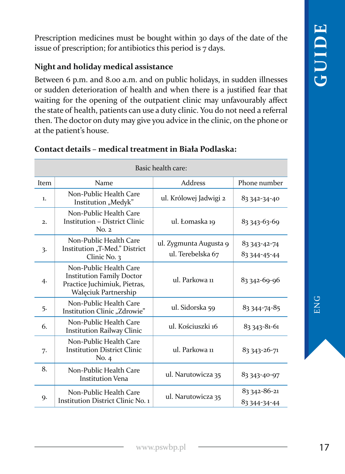Prescription medicines must be bought within 30 days of the date of the issue of prescription; for antibiotics this period is 7 days.

#### **Night and holiday medical assistance**

Between 6 p.m. and 8.00 a.m. and on public holidays, in sudden illnesses or sudden deterioration of health and when there is a justified fear that waiting for the opening of the outpatient clinic may unfavourably affect the state of health, patients can use a duty clinic. You do not need a referral then. The doctor on duty may give you advice in the clinic, on the phone or at the patient's house.

| Basic health care: |                                                                                                                    |                                             |                                  |  |  |
|--------------------|--------------------------------------------------------------------------------------------------------------------|---------------------------------------------|----------------------------------|--|--|
| Item               | Name                                                                                                               | Address                                     | Phone number                     |  |  |
| 1.                 | Non-Public Health Care<br>Institution "Medyk"                                                                      | ul. Królowej Jadwigi 2                      | 83 342-34-40                     |  |  |
| $\overline{2}$ .   | Non-Public Health Care<br><b>Institution - District Clinic</b><br>No. 2                                            | ul. Łomaska 19                              | 83 343-63-69                     |  |  |
| 3.                 | Non-Public Health Care<br>Institution "T-Med." District<br>Clinic No. 3                                            | ul. Zygmunta Augusta 9<br>ul. Terebelska 67 | 83 343-42-74<br>83 344-45-44     |  |  |
| 4.                 | Non-Public Health Care<br><b>Institution Family Doctor</b><br>Practice Juchimiuk, Pietras,<br>Walęciuk Partnership | ul. Parkowa u                               | 83 342-69-96                     |  |  |
| 5.                 | Non-Public Health Care<br>Institution Clinic "Zdrowie"                                                             | ul. Sidorska 59                             | 83 344-74-85                     |  |  |
| 6.                 | Non-Public Health Care<br><b>Institution Railway Clinic</b>                                                        | ul. Kościuszki 16                           | 83 343-81-61                     |  |  |
| 7.                 | Non-Public Health Care<br><b>Institution District Clinic</b><br>No. 4                                              | ul. Parkowa u                               | 83 343-26-71                     |  |  |
| 8.                 | Non-Public Health Care<br><b>Institution Vena</b>                                                                  | ul. Narutowicza 35                          | 83 343-40-97                     |  |  |
| 9.                 | Non-Public Health Care<br>Institution District Clinic No. 1                                                        | ul. Narutowicza 35                          | 83 342-86-21<br>83 344 - 34 - 44 |  |  |

#### **Contact details – medical treatment in Biała Podlaska:**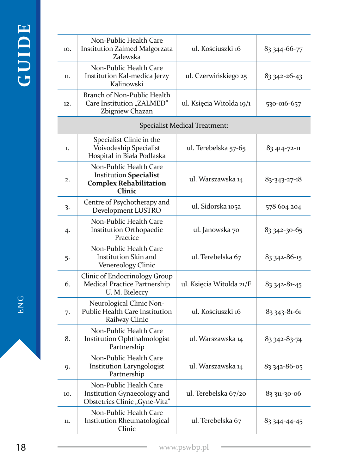# **GUIDE**

| 10.          | Non-Public Health Care<br><b>Institution Zalmed Małgorzata</b><br>Zalewska                         | ul. Kościuszki 16             | 83 344-66-77 |
|--------------|----------------------------------------------------------------------------------------------------|-------------------------------|--------------|
| 11.          | Non-Public Health Care<br>Institution Kal-medica Jerzy<br>Kalinowski                               | ul. Czerwińskiego 25          | 83 342-26-43 |
| 12.          | Branch of Non-Public Health<br>Care Institution "ZALMED"<br>Zbigniew Chazan                        | ul. Księcia Witolda 19/1      | 530-016-657  |
|              |                                                                                                    | Specialist Medical Treatment: |              |
| $\mathbf{1}$ | Specialist Clinic in the<br>Voivodeship Specialist<br>Hospital in Biała Podlaska                   | ul. Terebelska 57-65          | 83 414-72-11 |
| 2.           | Non-Public Health Care<br><b>Institution Specialist</b><br><b>Complex Rehabilitation</b><br>Clinic | ul. Warszawska 14             | 83-343-27-18 |
| 3.           | Centre of Psychotherapy and<br>Development LUSTRO                                                  | ul. Sidorska 105a             | 578 604 204  |
| 4.           | Non-Public Health Care<br><b>Institution Orthopaedic</b><br>Practice                               | ul. Janowska 70               | 83 342-30-65 |
| 5.           | Non-Public Health Care<br>Institution Skin and<br>Venereology Clinic                               | ul. Terebelska 67             | 83 342-86-15 |
| 6.           | Clinic of Endocrinology Group<br>Medical Practice Partnership<br>U. M. Bieleccy                    | ul. Księcia Witolda 21/F      | 83 342-81-45 |
| 7.           | Neurological Clinic Non-<br>Public Health Care Institution<br>Railway Clinic                       | ul. Kościuszki 16             | 83 343-81-61 |
| 8.           | Non-Public Health Care<br>Institution Ophthalmologist<br>Partnership                               | ul. Warszawska 14             | 83 342-83-74 |
| 9.           | Non-Public Health Care<br>Institution Laryngologist<br>Partnership                                 | ul. Warszawska 14             | 83 342-86-05 |
| 10.          | Non-Public Health Care<br>Institution Gynaecology and<br>Obstetrics Clinic "Gyne-Vita"             | ul. Terebelska 67/20          | 83 311-30-06 |
| 11.          | Non-Public Health Care<br><b>Institution Rheumatological</b><br>Clinic                             | ul. Terebelska 67             | 83 344-44-45 |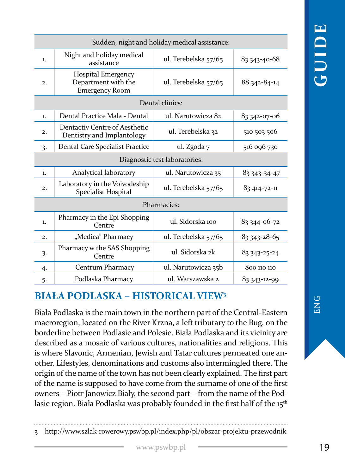| Sudden, night and holiday medical assistance: |                                                                    |                      |                |  |  |
|-----------------------------------------------|--------------------------------------------------------------------|----------------------|----------------|--|--|
| 1.                                            | Night and holiday medical<br>assistance                            | ul. Terebelska 57/65 | 83 343-40-68   |  |  |
| 2.                                            | Hospital Emergency<br>Department with the<br><b>Emergency Room</b> | ul. Terebelska 57/65 | 88 342-84-14   |  |  |
| Dental clinics:                               |                                                                    |                      |                |  |  |
| 1.                                            | Dental Practice Mala - Dental                                      | ul. Narutowicza 82   | 83 342-07-06   |  |  |
| $\overline{2}$                                | Dentactiv Centre of Aesthetic<br>Dentistry and Implantology        | ul. Terebelska 32    | 510 503 506    |  |  |
| 3.                                            | Dental Care Specialist Practice                                    | ul. Zgoda 7          | 516 096 730    |  |  |
| Diagnostic test laboratories:                 |                                                                    |                      |                |  |  |
| $\mathbf{1}$                                  | Analytical laboratory                                              | ul. Narutowicza 35   | 83 343 34 - 47 |  |  |
| 2.                                            | Laboratory in the Voivodeship<br>Specialist Hospital               | ul. Terebelska 57/65 | 83 414-72-11   |  |  |
| Pharmacies:                                   |                                                                    |                      |                |  |  |
| 1.                                            | Pharmacy in the Epi Shopping<br>Centre                             | ul. Sidorska 100     | 83 344-06-72   |  |  |
| 2.                                            | "Medica" Pharmacy                                                  | ul. Terebelska 57/65 | 83 343-28-65   |  |  |
| 3.                                            | Pharmacy w the SAS Shopping<br>Centre                              | ul. Sidorska 2k      | 83 343-25-24   |  |  |
| 4.                                            | Centrum Pharmacy                                                   | ul. Narutowicza 35b  | 800 110 110    |  |  |
| 5.                                            | Podlaska Pharmacy                                                  | ul. Warszawska 2     | 83 343-12-99   |  |  |

# **BIAŁA PODLASKA – HISTORICAL VIEW<sup>3</sup>**

Biała Podlaska is the main town in the northern part of the Central-Eastern macroregion, located on the River Krzna, a left tributary to the Bug, on the borderline between Podlasie and Polesie. Biała Podlaska and its vicinity are described as a mosaic of various cultures, nationalities and religions. This is where Slavonic, Armenian, Jewish and Tatar cultures permeated one another. Lifestyles, denominations and customs also intermingled there. The origin of the name of the town has not been clearly explained. The first part of the name is supposed to have come from the surname of one of the first owners – Piotr Janowicz Biały, the second part – from the name of the Podlasie region. Biała Podlaska was probably founded in the first half of the 15<sup>th</sup>

3 http://www.szlak-rowerowy.pswbp.pl/index.php/pl/obszar-projektu-przewodnik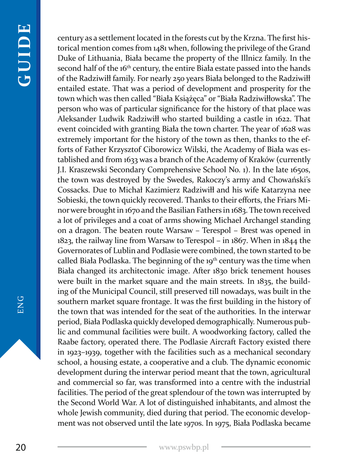century as a settlement located in the forests cut by the Krzna. The first historical mention comes from 1481 when, following the privilege of the Grand Duke of Lithuania, Biała became the property of the Illnicz family. In the second half of the 16<sup>th</sup> century, the entire Biała estate passed into the hands of the Radziwiłł family. For nearly 250 years Biała belonged to the Radziwiłł entailed estate. That was a period of development and prosperity for the town which was then called "Biała Książęca" or "Biała Radziwiłłowska". The person who was of particular significance for the history of that place was Aleksander Ludwik Radziwiłł who started building a castle in 1622. That event coincided with granting Biała the town charter. The year of 1628 was extremely important for the history of the town as then, thanks to the efforts of Father Krzysztof Ciborowicz Wilski, the Academy of Biała was established and from 1633 was a branch of the Academy of Kraków (currently J.I. Kraszewski Secondary Comprehensive School No. 1). In the late 1650s, the town was destroyed by the Swedes, Rakoczy's army and Chowański's Cossacks. Due to Michał Kazimierz Radziwiłł and his wife Katarzyna nee Sobieski, the town quickly recovered. Thanks to their efforts, the Friars Minor were brought in 1670 and the Basilian Fathers in 1683. The town received a lot of privileges and a coat of arms showing Michael Archangel standing on a dragon. The beaten route Warsaw – Terespol – Brest was opened in 1823, the railway line from Warsaw to Terespol – in 1867. When in 1844 the Governorates of Lublin and Podlasie were combined, the town started to be called Biała Podlaska. The beginning of the 19<sup>th</sup> century was the time when Biała changed its architectonic image. After 1830 brick tenement houses were built in the market square and the main streets. In 1835, the building of the Municipal Council, still preserved till nowadays, was built in the southern market square frontage. It was the first building in the history of the town that was intended for the seat of the authorities. In the interwar period, Biała Podlaska quickly developed demographically. Numerous public and communal facilities were built. A woodworking factory, called the Raabe factory, operated there. The Podlasie Aircraft Factory existed there in 1923–1939, together with the facilities such as a mechanical secondary school, a housing estate, a cooperative and a club. The dynamic economic development during the interwar period meant that the town, agricultural and commercial so far, was transformed into a centre with the industrial facilities. The period of the great splendour of the town was interrupted by the Second World War. A lot of distinguished inhabitants, and almost the whole Jewish community, died during that period. The economic development was not observed until the late 1970s. In 1975, Biała Podlaska became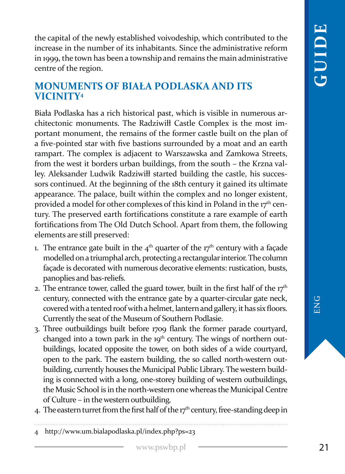the capital of the newly established voivodeship, which contributed to the increase in the number of its inhabitants. Since the administrative reform in 1999, the town has been a township and remains the main administrative centre of the region.

#### **MONUMENTS OF BIAŁA PODLASKA AND ITS VICINITY4**

Biała Podlaska has a rich historical past, which is visible in numerous architectonic monuments. The Radziwiłł Castle Complex is the most important monument, the remains of the former castle built on the plan of a five-pointed star with five bastions surrounded by a moat and an earth rampart. The complex is adjacent to Warszawska and Zamkowa Streets, from the west it borders urban buildings, from the south – the Krzna valley. Aleksander Ludwik Radziwiłł started building the castle, his successors continued. At the beginning of the 18th century it gained its ultimate appearance. The palace, built within the complex and no longer existent, provided a model for other complexes of this kind in Poland in the 17<sup>th</sup> century. The preserved earth fortifications constitute a rare example of earth fortifications from The Old Dutch School. Apart from them, the following elements are still preserved:

- 1. The entrance gate built in the  $4<sup>th</sup>$  quarter of the  $17<sup>th</sup>$  century with a façade modelled on a triumphal arch, protecting a rectangular interior. The column façade is decorated with numerous decorative elements: rustication, busts, panoplies and bas-reliefs.
- 2. The entrance tower, called the guard tower, built in the first half of the  $17<sup>th</sup>$ century, connected with the entrance gate by a quarter-circular gate neck, covered with a tented roof with a helmet, lantern and gallery, it has six floors. Currently the seat of the Museum of Southern Podlasie.
- 3. Three outbuildings built before 1709 flank the former parade courtyard, changed into a town park in the 19<sup>th</sup> century. The wings of northern outbuildings, located opposite the tower, on both sides of a wide courtyard, open to the park. The eastern building, the so called north-western outbuilding, currently houses the Municipal Public Library. The western building is connected with a long, one-storey building of western outbuildings, the Music School is in the north-western one whereas the Municipal Centre of Culture – in the western outbuilding.
- 4. The eastern turret from the first half of the  $17<sup>th</sup>$  century, free-standing deep in

<sup>4</sup> http://www.um.bialapodlaska.pl/index.php?ps=23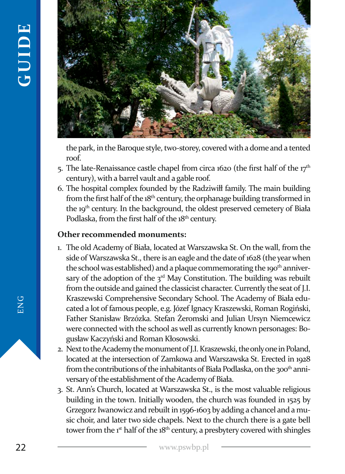

the park, in the Baroque style, two-storey, covered with a dome and a tented roof.

- 5. The late-Renaissance castle chapel from circa 1620 (the first half of the 17<sup>th</sup> century), with a barrel vault and a gable roof.
- 6. The hospital complex founded by the Radziwiłł family. The main building from the first half of the 18<sup>th</sup> century, the orphanage building transformed in the 19<sup>th</sup> century. In the background, the oldest preserved cemetery of Biała Podlaska, from the first half of the 18<sup>th</sup> century.

#### **Other recommended monuments:**

- 1. The old Academy of Biała, located at Warszawska St. On the wall, from the side of Warszawska St., there is an eagle and the date of 1628 (the year when the school was established) and a plaque commemorating the 190<sup>th</sup> anniversary of the adoption of the  $3<sup>rd</sup>$  May Constitution. The building was rebuilt from the outside and gained the classicist character. Currently the seat of J.I. Kraszewski Comprehensive Secondary School. The Academy of Biała educated a lot of famous people, e.g. Józef Ignacy Kraszewski, Roman Rogiński, Father Stanisław Brzózka. Stefan Żeromski and Julian Ursyn Niemcewicz were connected with the school as well as currently known personages: Bogusław Kaczyński and Roman Kłosowski.
- 2. Next to the Academy the monument of J.I. Kraszewski, the only one in Poland, located at the intersection of Zamkowa and Warszawska St. Erected in 1928 from the contributions of the inhabitants of Biała Podlaska, on the 300<sup>th</sup> anniversary of the establishment of the Academy of Biała.
- 3. St. Ann's Church, located at Warszawska St., is the most valuable religious building in the town. Initially wooden, the church was founded in 1525 by Grzegorz Iwanowicz and rebuilt in 1596-1603 by adding a chancel and a music choir, and later two side chapels. Next to the church there is a gate bell tower from the 1<sup>st</sup> half of the 18<sup>th</sup> century, a presbytery covered with shingles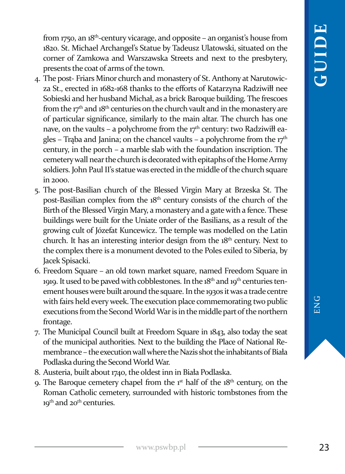from 1750, an 18th-century vicarage, and opposite – an organist's house from 1820. St. Michael Archangel's Statue by Tadeusz Ulatowski, situated on the corner of Zamkowa and Warszawska Streets and next to the presbytery, presents the coat of arms of the town.

- 4. The post- Friars Minor church and monastery of St. Anthony at Narutowicza St., erected in 1682-168 thanks to the efforts of Katarzyna Radziwiłł nee Sobieski and her husband Michał, as a brick Baroque building. The frescoes from the  $17<sup>th</sup>$  and  $18<sup>th</sup>$  centuries on the church vault and in the monastery are of particular significance, similarly to the main altar. The church has one nave, on the vaults – a polychrome from the  $17<sup>th</sup>$  century: two Radziwiłł eagles – Trąba and Janina; on the chancel vaults – a polychrome from the  $17<sup>th</sup>$ century, in the porch – a marble slab with the foundation inscription. The cemetery wall near the church is decorated with epitaphs of the Home Army soldiers. John Paul II's statue was erected in the middle of the church square in 2000.
- 5. The post-Basilian church of the Blessed Virgin Mary at Brzeska St. The post-Basilian complex from the 18th century consists of the church of the Birth of the Blessed Virgin Mary, a monastery and a gate with a fence. These buildings were built for the Uniate order of the Basilians, as a result of the growing cult of Józefat Kuncewicz. The temple was modelled on the Latin church. It has an interesting interior design from the 18<sup>th</sup> century. Next to the complex there is a monument devoted to the Poles exiled to Siberia, by Jacek Spisacki.
- 6. Freedom Square an old town market square, named Freedom Square in 1919. It used to be paved with cobblestones. In the 18<sup>th</sup> and 19<sup>th</sup> centuries tenement houses were built around the square. In the 1930s it was a trade centre with fairs held every week. The execution place commemorating two public executions from the Second World War is in the middle part of the northern frontage.
- 7. The Municipal Council built at Freedom Square in 1843, also today the seat of the municipal authorities. Next to the building the Place of National Remembrance – the execution wall where the Nazis shot the inhabitants of Biała Podlaska during the Second World War.
- 8. Austeria, built about 1740, the oldest inn in Biała Podlaska.
- 9. The Baroque cemetery chapel from the  $1<sup>st</sup>$  half of the  $18<sup>th</sup>$  century, on the Roman Catholic cemetery, surrounded with historic tombstones from the 19<sup>th</sup> and 20<sup>th</sup> centuries.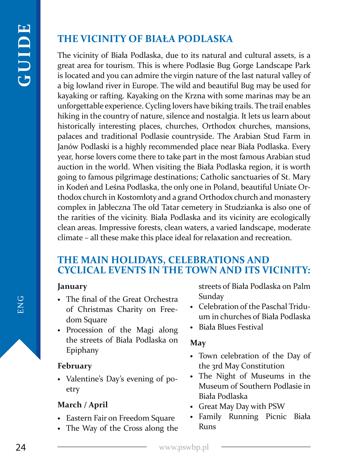# **THE VICINITY OF BIAŁA PODLASKA**

The vicinity of Biała Podlaska, due to its natural and cultural assets, is a great area for tourism. This is where Podlasie Bug Gorge Landscape Park is located and you can admire the virgin nature of the last natural valley of a big lowland river in Europe. The wild and beautiful Bug may be used for kayaking or rafting. Kayaking on the Krzna with some marinas may be an unforgettable experience. Cycling lovers have biking trails. The trail enables hiking in the country of nature, silence and nostalgia. It lets us learn about historically interesting places, churches, Orthodox churches, mansions, palaces and traditional Podlasie countryside. The Arabian Stud Farm in Janów Podlaski is a highly recommended place near Biała Podlaska. Every year, horse lovers come there to take part in the most famous Arabian stud auction in the world. When visiting the Biała Podlaska region, it is worth going to famous pilgrimage destinations; Catholic sanctuaries of St. Mary in Kodeń and Leśna Podlaska, the only one in Poland, beautiful Uniate Orthodox church in Kostomłoty and a grand Orthodox church and monastery complex in Jabłeczna The old Tatar cemetery in Studzianka is also one of the rarities of the vicinity. Biała Podlaska and its vicinity are ecologically clean areas. Impressive forests, clean waters, a varied landscape, moderate climate – all these make this place ideal for relaxation and recreation.

#### **THE MAIN HOLIDAYS, CELEBRATIONS AND CYCLICAL EVENTS IN THE TOWN AND ITS VICINITY:**

#### **January**

- **•** The final of the Great Orchestra of Christmas Charity on Freedom Square
- **•** Procession of the Magi along the streets of Biała Podlaska on Epiphany

#### **February**

**•** Valentine's Day's evening of poetry

#### **March / April**

- **•** Eastern Fair on Freedom Square
- **•** The Way of the Cross along the

streets of Biała Podlaska on Palm Sunday

- **•** Celebration of the Paschal Triduum in churches of Biała Podlaska
- **•** Biała Blues Festival

#### **May**

- **•** Town celebration of the Day of the 3rd May Constitution
- **•** The Night of Museums in the Museum of Southern Podlasie in Biała Podlaska
- **•** Great May Day with PSW
- **•** Family Running Picnic Biała Runs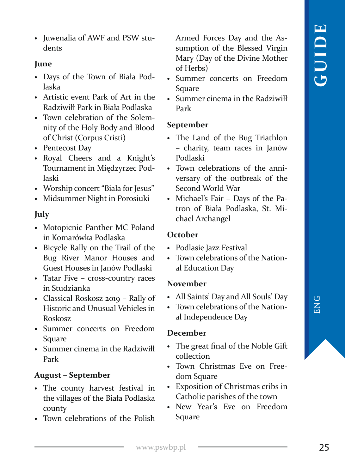**•** Juwenalia of AWF and PSW students

#### **June**

- **•** Days of the Town of Biała Podlaska
- **•** Artistic event Park of Art in the Radziwiłł Park in Biała Podlaska
- **•** Town celebration of the Solemnity of the Holy Body and Blood of Christ (Corpus Cristi)
- **•** Pentecost Day
- **•** Royal Cheers and a Knight's Tournament in Międzyrzec Podlaski
- **•** Worship concert "Biała for Jesus"
- **•** Midsummer Night in Porosiuki

#### **July**

- **•** Motopicnic Panther MC Poland in Komarówka Podlaska
- **•** Bicycle Rally on the Trail of the Bug River Manor Houses and Guest Houses in Janów Podlaski
- **•** Tatar Five cross-country races in Studzianka
- **•** Classical Roskosz 2019 Rally of Historic and Unusual Vehicles in Roskosz
- **•** Summer concerts on Freedom Square
- **•** Summer cinema in the Radziwiłł Park

#### **August – September**

- **•** The county harvest festival in the villages of the Biała Podlaska county
- **•** Town celebrations of the Polish

Armed Forces Day and the Assumption of the Blessed Virgin Mary (Day of the Divine Mother of Herbs)

- **•** Summer concerts on Freedom Square
- **•** Summer cinema in the Radziwiłł Park

#### **September**

- **•** The Land of the Bug Triathlon – charity, team races in Janów Podlaski
- **•** Town celebrations of the anniversary of the outbreak of the Second World War
- **•** Michael's Fair Days of the Patron of Biała Podlaska, St. Michael Archangel

#### **October**

- **•** Podlasie Jazz Festival
- **•** Town celebrations of the National Education Day

#### **November**

- **•** All Saints' Day and All Souls' Day
- **•** Town celebrations of the National Independence Day

#### **December**

- **•** The great final of the Noble Gift collection
- **•** Town Christmas Eve on Freedom Square
- **•** Exposition of Christmas cribs in Catholic parishes of the town
- **•** New Year's Eve on Freedom Square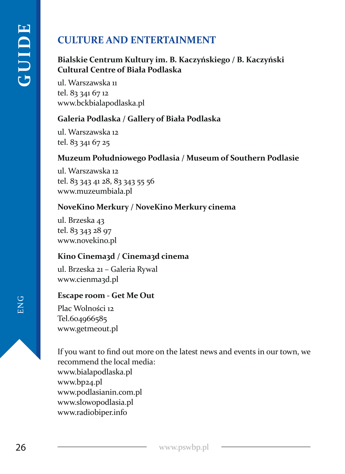# **CULTURE AND ENTERTAINMENT**

#### **Bialskie Centrum Kultury im. B. Kaczyńskiego / B. Kaczyński Cultural Centre of Biała Podlaska**

ul. Warszawska 11 tel. 83 341 67 12 www.bckbialapodlaska.pl

#### **Galeria Podlaska / Gallery of Biała Podlaska**

ul. Warszawska 12 tel. 83 341 67 25

#### **Muzeum Południowego Podlasia / Museum of Southern Podlasie**

ul. Warszawska 12 tel. 83 343 41 28, 83 343 55 56 www.muzeumbiala.pl

#### **NoveKino Merkury / NoveKino Merkury cinema**

ul. Brzeska 43 tel. 83 343 28 97 www.novekino.pl

#### **Kino Cinema3d / Cinema3d cinema**

ul. Brzeska 21 – Galeria Rywal www.cienma3d.pl

#### **Escape room - Get Me Out**

Plac Wolności 12 Tel.604966585 www.getmeout.pl

If you want to find out more on the latest news and events in our town, we recommend the local media: www.bialapodlaska.pl www.bp24.pl www.podlasianin.com.pl www.slowopodlasia.pl www.radiobiper.info